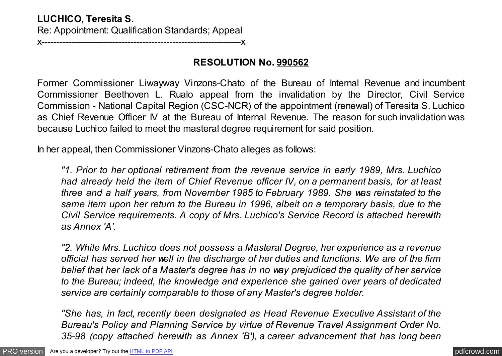# **LUCHICO, Teresita S.** Re: Appointment: Qualification Standards; Appeal

x-------------------------------------------------------------------x

## **RESOLUTION No. 990562**

Former Commissioner Liwayway Vinzons-Chato of the Bureau of Internal Revenue and incumbent Commissioner Beethoven L. Rualo appeal from the invalidation by the Director, Civil Service Commission - National Capital Region (CSC-NCR) of the appointment (renewal) of Teresita S. Luchico as Chief Revenue Officer IV at the Bureau of Internal Revenue. The reason for such invalidation was because Luchico failed to meet the masteral degree requirement for said position.

In her appeal, then Commissioner Vinzons-Chato alleges as follows:

*"1. Prior to her optional retirement from the revenue service in early 1989, Mrs. Luchico had already held the item of Chief Revenue officer IV, on a permanent basis, for at least three and a half years, from November 1985 to February 1989. She was reinstated to the same item upon her return to the Bureau in 1996, albeit on a temporary basis, due to the Civil Service requirements. A copy of Mrs. Luchico's Service Record is attached herewith as Annex 'A'.*

*"2. While Mrs. Luchico does not possess a Masteral Degree, her experience as a revenue official has served her well in the discharge of her duties and functions. We are of the firm belief that her lack of a Master's degree has in no way prejudiced the quality of her service to the Bureau; indeed, the knowledge and experience she gained over years of dedicated service are certainly comparable to those of any Master's degree holder.*

*"She has, in fact, recently been designated as Head Revenue Executive Assistant of the Bureau's Policy and Planning Service by virtue of Revenue Travel Assignment Order No. 35-98 (copy attached herewith as Annex 'B'), a career advancement that has long been*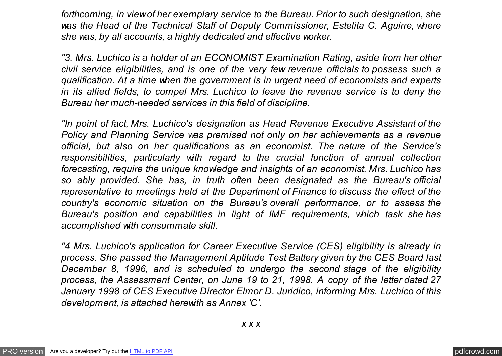*forthcoming, in view of her exemplary service to the Bureau. Prior to such designation, she was the Head of the Technical Staff of Deputy Commissioner, Estelita C. Aguirre, where she was, by all accounts, a highly dedicated and effective worker.*

*"3. Mrs. Luchico is a holder of an ECONOMIST Examination Rating, aside from her other civil service eligibilities, and is one of the very few revenue officials to possess such a qualification. At a time when the government is in urgent need of economists and experts in its allied fields, to compel Mrs. Luchico to leave the revenue service is to deny the Bureau her much-needed services in this field of discipline.*

*"In point of fact, Mrs. Luchico's designation as Head Revenue Executive Assistant of the Policy and Planning Service was premised not only on her achievements as a revenue official, but also on her qualifications as an economist. The nature of the Service's responsibilities, particularly with regard to the crucial function of annual collection forecasting, require the unique knowledge and insights of an economist, Mrs. Luchico has so ably provided. She has, in truth often been designated as the Bureau's official representative to meetings held at the Department of Finance to discuss the effect of the country's economic situation on the Bureau's overall performance, or to assess the Bureau's position and capabilities in light of IMF requirements, which task she has accomplished with consummate skill.*

*"4 Mrs. Luchico's application for Career Executive Service (CES) eligibility is already in process. She passed the Management Aptitude Test Battery given by the CES Board last December 8, 1996, and is scheduled to undergo the second stage of the eligibility process, the Assessment Center, on June 19 to 21, 1998. A copy of the letter dated 27 January 1998 of CES Executive Director Elmor D. Juridico, informing Mrs. Luchico of this development, is attached herewith as Annex 'C'.*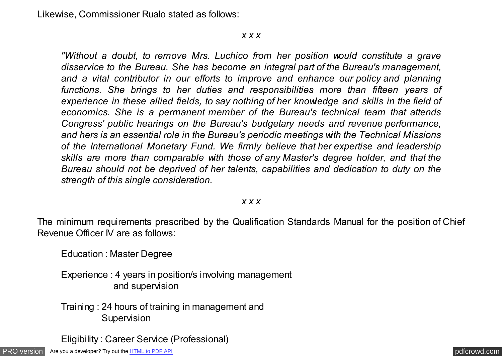Likewise, Commissioner Rualo stated as follows:

#### *x x x*

*"Without a doubt, to remove Mrs. Luchico from her position would constitute a grave disservice to the Bureau. She has become an integral part of the Bureau's management, and a vital contributor in our efforts to improve and enhance our policy and planning functions. She brings to her duties and responsibilities more than fifteen years of experience in these allied fields, to say nothing of her knowledge and skills in the field of economics. She is a permanent member of the Bureau's technical team that attends Congress' public hearings on the Bureau's budgetary needs and revenue performance, and hers is an essential role in the Bureau's periodic meetings with the Technical Missions of the International Monetary Fund. We firmly believe that her expertise and leadership skills are more than comparable with those of any Master's degree holder, and that the Bureau should not be deprived of her talents, capabilities and dedication to duty on the strength of this single consideration.*

### *x x x*

The minimum requirements prescribed by the Qualification Standards Manual for the position of Chief Revenue Officer IV are as follows:

Education : Master Degree

Experience : 4 years in position/s involving management and supervision

Training : 24 hours of training in management and **Supervision** 

Eligibility : Career Service (Professional)

[PRO version](http://pdfcrowd.com/customize/) Are you a developer? Try out th[e HTML to PDF API](http://pdfcrowd.com/html-to-pdf-api/?ref=pdf) [pdfcrowd.com](http://pdfcrowd.com)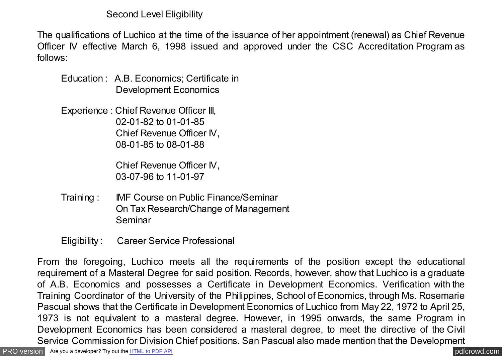Second Level Eligibility

The qualifications of Luchico at the time of the issuance of her appointment (renewal) as Chief Revenue Officer IV effective March 6, 1998 issued and approved under the CSC Accreditation Program as follows:

Education : A.B. Economics; Certificate in Development Economics

Experience : Chief Revenue Officer III, 02-01-82 to 01-01-85 Chief Revenue Officer IV, 08-01-85 to 08-01-88

> Chief Revenue Officer IV, 03-07-96 to 11-01-97

Training : IMF Course on Public Finance/Seminar On Tax Research/Change of Management Seminar

Eligibility : Career Service Professional

From the foregoing, Luchico meets all the requirements of the position except the educational requirement of a Masteral Degree for said position. Records, however, show that Luchico is a graduate of A.B. Economics and possesses a Certificate in Development Economics. Verification with the Training Coordinator of the University of the Philippines, School of Economics, through Ms. Rosemarie Pascual shows that the Certificate in Development Economics of Luchico from May 22, 1972 to April 25, 1973 is not equivalent to a masteral degree. However, in 1995 onwards, the same Program in Development Economics has been considered a masteral degree, to meet the directive of the Civil Service Commission for Division Chief positions. San Pascual also made mention that the Development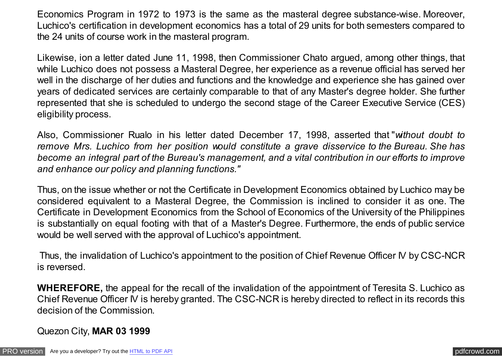Economics Program in 1972 to 1973 is the same as the masteral degree substance-wise. Moreover, Luchico's certification in development economics has a total of 29 units for both semesters compared to the 24 units of course work in the masteral program.

Likewise, ion a letter dated June 11, 1998, then Commissioner Chato argued, among other things, that while Luchico does not possess a Masteral Degree, her experience as a revenue official has served her well in the discharge of her duties and functions and the knowledge and experience she has gained over years of dedicated services are certainly comparable to that of any Master's degree holder. She further represented that she is scheduled to undergo the second stage of the Career Executive Service (CES) eligibility process.

Also, Commissioner Rualo in his letter dated December 17, 1998, asserted that "*without doubt to remove Mrs. Luchico from her position would constitute a grave disservice to the Bureau. She has become an integral part of the Bureau's management, and a vital contribution in our efforts to improve and enhance our policy and planning functions."*

Thus, on the issue whether or not the Certificate in Development Economics obtained by Luchico may be considered equivalent to a Masteral Degree, the Commission is inclined to consider it as one. The Certificate in Development Economics from the School of Economics of the University of the Philippines is substantially on equal footing with that of a Master's Degree. Furthermore, the ends of public service would be well served with the approval of Luchico's appointment.

Thus, the invalidation of Luchico's appointment to the position of Chief Revenue Officer IV by CSC-NCR is reversed.

**WHEREFORE,** the appeal for the recall of the invalidation of the appointment of Teresita S. Luchico as Chief Revenue Officer IV is hereby granted. The CSC-NCR is hereby directed to reflect in its records this decision of the Commission.

Quezon City, **MAR 03 1999**